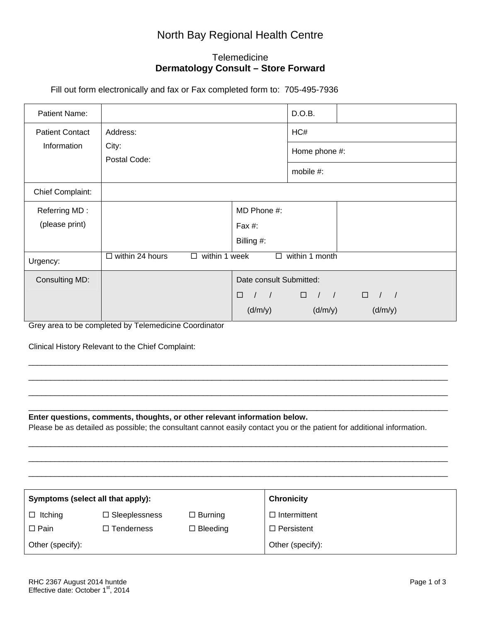## North Bay Regional Health Centre

## **Telemedicine Dermatology Consult – Store Forward**

Fill out form electronically and fax or Fax completed form to: 705-495-7936

| Patient Name:          |                                                                               |                                                          | D.O.B.                                                               |               |
|------------------------|-------------------------------------------------------------------------------|----------------------------------------------------------|----------------------------------------------------------------------|---------------|
| <b>Patient Contact</b> | Address:<br>City:<br>Postal Code:                                             |                                                          | HC#                                                                  |               |
| Information            |                                                                               |                                                          | Home phone #:                                                        |               |
|                        |                                                                               |                                                          | mobile #:                                                            |               |
| Chief Complaint:       |                                                                               |                                                          |                                                                      |               |
| Referring MD:          |                                                                               | MD Phone #:                                              |                                                                      |               |
| (please print)         |                                                                               | Fax $#$ :                                                |                                                                      |               |
|                        |                                                                               | Billing #:                                               |                                                                      |               |
| Urgency:               | within 1 week<br>within 1 month<br>$\Box$ within 24 hours<br>$\Box$<br>$\Box$ |                                                          |                                                                      |               |
| Consulting MD:         |                                                                               | Date consult Submitted:                                  |                                                                      |               |
|                        |                                                                               | $\Box$<br>$\left  \begin{array}{cc} \end{array} \right $ | $\begin{array}{ccccccccccccc} \Box & / & / & / & & \Box \end{array}$ | $\frac{1}{2}$ |
|                        |                                                                               | (d/m/y)                                                  | (d/m/y)                                                              | (d/m/y)       |

Grey area to be completed by Telemedicine Coordinator

Clinical History Relevant to the Chief Complaint:

**Enter questions, comments, thoughts, or other relevant information below.**

Please be as detailed as possible; the consultant cannot easily contact you or the patient for additional information.

 $\_$  ,  $\_$  ,  $\_$  ,  $\_$  ,  $\_$  ,  $\_$  ,  $\_$  ,  $\_$  ,  $\_$  ,  $\_$  ,  $\_$  ,  $\_$  ,  $\_$  ,  $\_$  ,  $\_$  ,  $\_$  ,  $\_$  ,  $\_$  ,  $\_$  ,  $\_$  ,  $\_$  ,  $\_$  ,  $\_$  ,  $\_$  ,  $\_$  ,  $\_$  ,  $\_$  ,  $\_$  ,  $\_$  ,  $\_$  ,  $\_$  ,  $\_$  ,  $\_$  ,  $\_$  ,  $\_$  ,  $\_$  ,  $\_$  , \_\_\_\_\_\_\_\_\_\_\_\_\_\_\_\_\_\_\_\_\_\_\_\_\_\_\_\_\_\_\_\_\_\_\_\_\_\_\_\_\_\_\_\_\_\_\_\_\_\_\_\_\_\_\_\_\_\_\_\_\_\_\_\_\_\_\_\_\_\_\_\_\_\_\_\_\_\_\_\_\_\_\_\_\_\_\_\_\_\_\_\_\_\_\_\_  $\_$  ,  $\_$  ,  $\_$  ,  $\_$  ,  $\_$  ,  $\_$  ,  $\_$  ,  $\_$  ,  $\_$  ,  $\_$  ,  $\_$  ,  $\_$  ,  $\_$  ,  $\_$  ,  $\_$  ,  $\_$  ,  $\_$  ,  $\_$  ,  $\_$  ,  $\_$  ,  $\_$  ,  $\_$  ,  $\_$  ,  $\_$  ,  $\_$  ,  $\_$  ,  $\_$  ,  $\_$  ,  $\_$  ,  $\_$  ,  $\_$  ,  $\_$  ,  $\_$  ,  $\_$  ,  $\_$  ,  $\_$  ,  $\_$  ,

\_\_\_\_\_\_\_\_\_\_\_\_\_\_\_\_\_\_\_\_\_\_\_\_\_\_\_\_\_\_\_\_\_\_\_\_\_\_\_\_\_\_\_\_\_\_\_\_\_\_\_\_\_\_\_\_\_\_\_\_\_\_\_\_\_\_\_\_\_\_\_\_\_\_\_\_\_\_\_\_\_\_\_\_\_\_\_\_\_\_\_\_\_\_\_\_  $\_$  ,  $\_$  ,  $\_$  ,  $\_$  ,  $\_$  ,  $\_$  ,  $\_$  ,  $\_$  ,  $\_$  ,  $\_$  ,  $\_$  ,  $\_$  ,  $\_$  ,  $\_$  ,  $\_$  ,  $\_$  ,  $\_$  ,  $\_$  ,  $\_$  ,  $\_$  ,  $\_$  ,  $\_$  ,  $\_$  ,  $\_$  ,  $\_$  ,  $\_$  ,  $\_$  ,  $\_$  ,  $\_$  ,  $\_$  ,  $\_$  ,  $\_$  ,  $\_$  ,  $\_$  ,  $\_$  ,  $\_$  ,  $\_$  ,  $\_$  ,  $\_$  ,  $\_$  ,  $\_$  ,  $\_$  ,  $\_$  ,  $\_$  ,  $\_$  ,  $\_$  ,  $\_$  ,  $\_$  ,  $\_$  ,  $\_$  ,  $\_$  ,  $\_$  ,  $\_$  ,  $\_$  ,  $\_$  ,  $\_$  ,  $\_$  ,  $\_$  ,  $\_$  ,  $\_$  ,  $\_$  ,  $\_$  ,  $\_$  ,  $\_$  ,  $\_$  ,  $\_$  ,  $\_$  ,  $\_$  ,  $\_$  ,  $\_$  ,  $\_$  ,  $\_$  ,  $\_$  ,  $\_$  , \_\_\_\_\_\_\_\_\_\_\_\_\_\_\_\_\_\_\_\_\_\_\_\_\_\_\_\_\_\_\_\_\_\_\_\_\_\_\_\_\_\_\_\_\_\_\_\_\_\_\_\_\_\_\_\_\_\_\_\_\_\_\_\_\_\_\_\_\_\_\_\_\_\_\_\_\_\_\_\_\_\_\_\_\_\_\_\_\_\_\_\_\_\_\_\_

| Symptoms (select all that apply): |                      |                 | <b>Chronicity</b>   |
|-----------------------------------|----------------------|-----------------|---------------------|
| $\Box$ Itching                    | $\Box$ Sleeplessness | $\Box$ Burning  | $\Box$ Intermittent |
| $\Box$ Pain                       | $\Box$ Tenderness    | $\Box$ Bleeding | $\Box$ Persistent   |
| Other (specify):                  |                      |                 | Other (specify):    |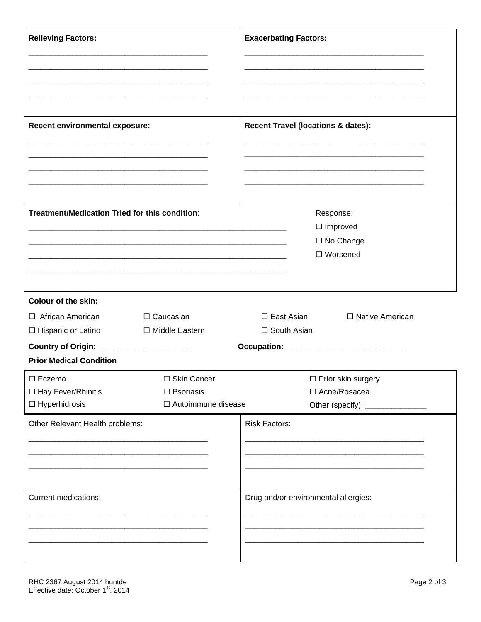| <b>Relieving Factors:</b><br><u> 1989 - Johann Barbara, martxa alemaniar amerikan basar da da a shekara a shekara a shekara a shekara a shekar</u>                      | <b>Exacerbating Factors:</b>                                                     |
|-------------------------------------------------------------------------------------------------------------------------------------------------------------------------|----------------------------------------------------------------------------------|
| Recent environmental exposure:                                                                                                                                          | <b>Recent Travel (locations &amp; dates):</b>                                    |
| Treatment/Medication Tried for this condition:<br><u> 1919 - Johann John Stone, martin film fan de ferske fan de ferske fan de ferske fan de ferske fan de ferske f</u> | Response:<br>$\Box$ Improved<br>□ No Change<br>□ Worsened                        |
| <b>Colour of the skin:</b>                                                                                                                                              |                                                                                  |
| □ African American<br>□ Caucasian<br>□ Middle Eastern<br>$\Box$ Hispanic or Latino<br>Country of Origin:_______________________                                         | $\square$ East Asian<br>□ Native American<br>□ South Asian                       |
| <b>Prior Medical Condition</b>                                                                                                                                          |                                                                                  |
| $\Box$ Eczema<br>□ Skin Cancer<br>□ Hay Fever/Rhinitis<br>$\Box$ Psoriasis<br>$\Box$ Hyperhidrosis<br>□ Autoimmune disease                                              | $\Box$ Prior skin surgery<br>□ Acne/Rosacea<br>Other (specify): ________________ |
| Other Relevant Health problems:                                                                                                                                         | <b>Risk Factors:</b>                                                             |
| Current medications:                                                                                                                                                    | Drug and/or environmental allergies:                                             |